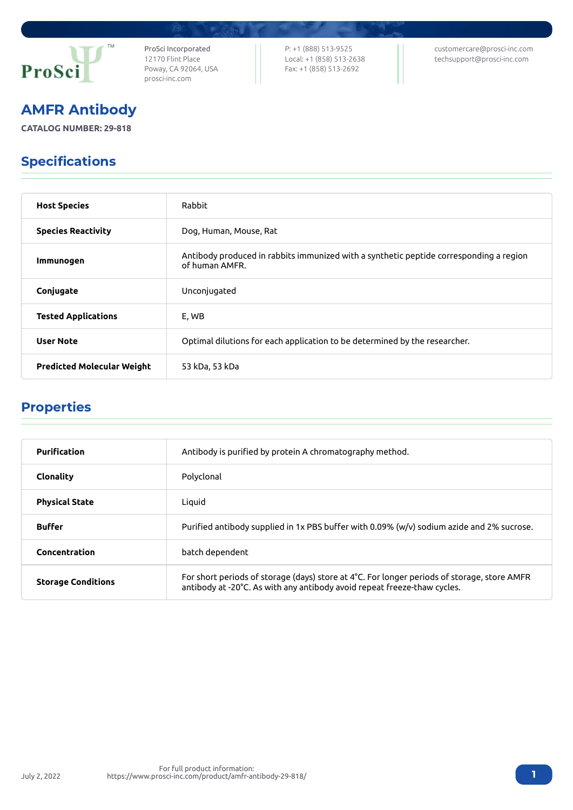

ProSci Incorporated 12170 Flint Place Poway, CA 92064, USA [prosci-inc.com](https://prosci-inc.com/)

P: +1 (888) 513-9525 Local: +1 (858) 513-2638 Fax: +1 (858) 513-2692

[customercare@prosci-inc.com](mailto:customercare@prosci-inc.com) [techsupport@prosci-inc.com](mailto:techsupport@prosci-inc.com)

# AMFR Antibody

**CATALOG NUMBER: 29-818**

## Specifications

| <b>Host Species</b>               | Rabbit                                                                                                   |
|-----------------------------------|----------------------------------------------------------------------------------------------------------|
| <b>Species Reactivity</b>         | Dog, Human, Mouse, Rat                                                                                   |
| Immunogen                         | Antibody produced in rabbits immunized with a synthetic peptide corresponding a region<br>of human AMFR. |
| Conjugate                         | Unconjugated                                                                                             |
| <b>Tested Applications</b>        | E, WB                                                                                                    |
| <b>User Note</b>                  | Optimal dilutions for each application to be determined by the researcher.                               |
| <b>Predicted Molecular Weight</b> | 53 kDa, 53 kDa                                                                                           |

#### Properties

| <b>Purification</b>       | Antibody is purified by protein A chromatography method.                                                                                                                |
|---------------------------|-------------------------------------------------------------------------------------------------------------------------------------------------------------------------|
| Clonality                 | Polyclonal                                                                                                                                                              |
| <b>Physical State</b>     | Liquid                                                                                                                                                                  |
| <b>Buffer</b>             | Purified antibody supplied in 1x PBS buffer with 0.09% (w/v) sodium azide and 2% sucrose.                                                                               |
| Concentration             | batch dependent                                                                                                                                                         |
| <b>Storage Conditions</b> | For short periods of storage (days) store at 4°C. For longer periods of storage, store AMFR<br>antibody at -20°C. As with any antibody avoid repeat freeze-thaw cycles. |